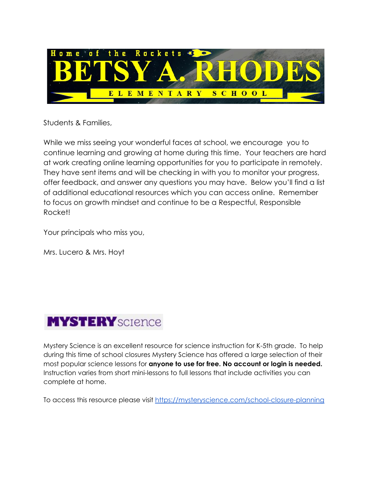

Students & Families,

While we miss seeing your wonderful faces at school, we encourage you to continue learning and growing at home during this time. Your teachers are hard at work creating online learning opportunities for you to participate in remotely. They have sent items and will be checking in with you to monitor your progress, offer feedback, and answer any questions you may have. Below you'll find a list of additional educational resources which you can access online. Remember to focus on growth mindset and continue to be a Respectful, Responsible Rocket!

Your principals who miss you,

Mrs. Lucero & Mrs. Hoyt



Mystery Science is an excellent resource for science instruction for K-5th grade. To help during this time of school closures Mystery Science has offered a large selection of their most popular science lessons for **anyone to use for free. No account or login is needed.** Instruction varies from short mini-lessons to full lessons that include activities you can complete at home.

To access this resource please visit <https://mysteryscience.com/school-closure-planning>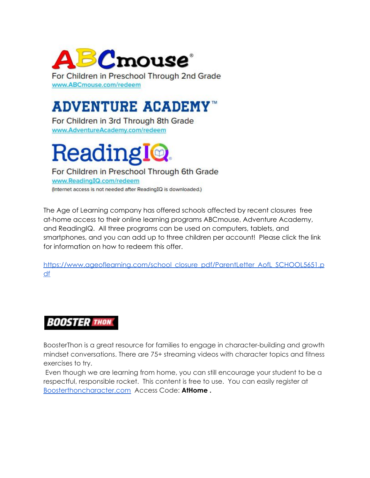

For Children in Preschool Through 2nd Grade www.ABCmouse.com/redeem

## **ADVENTURE ACADEMY™**

For Children in 3rd Through 8th Grade www.AdventureAcademy.com/redeem

# Readingl**e**.

For Children in Preschool Through 6th Grade www.ReadingIQ.com/redeem (Internet access is not needed after ReadingIQ is downloaded.)

The Age of Learning company has offered schools affected by recent closures free at-home access to their online learning programs ABCmouse, Adventure Academy, and ReadingIQ. All three programs can be used on computers, tablets, and smartphones, and you can add up to three children per account! Please click the link for information on how to redeem this offer.

[https://www.ageoflearning.com/school\\_closure\\_pdf/ParentLetter\\_AofL\\_SCHOOL5651.p](https://www.ageoflearning.com/school_closure_pdf/ParentLetter_AofL_SCHOOL5651.pdf) [df](https://www.ageoflearning.com/school_closure_pdf/ParentLetter_AofL_SCHOOL5651.pdf)

#### **BOOSTER THON**

BoosterThon is a great resource for families to engage in character-building and growth mindset conversations. There are 75+ streaming videos with character topics and fitness exercises to try.

Even though we are learning from home, you can still encourage your student to be a respectful, responsible rocket. This content is free to use. You can easily register at [Boosterthoncharacter.com](https://sl.boosterthon.com/t/11020/c/5df5bc14-57ea-48ce-8170-956755288f57/NB2HI4DTHIXS6YTPN5ZXIZLSORUG63TDNBQXEYLDORSXELTDN5WQ====/boosterthoncharacter-com) Access Code: **AtHome .**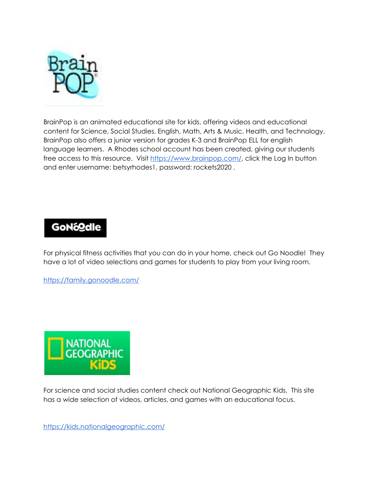

BrainPop is an animated educational site for kids, offering videos and educational content for Science, Social Studies, English, Math, Arts & Music, Health, and Technology. BrainPop also offers a junior version for grades K-3 and BrainPop ELL for english language learners. A Rhodes school account has been created, giving our students free access to this resource. Visit [https://www.brainpop.com/,](https://www.brainpop.com/) click the Log In button and enter username: betsyrhodes1, password: rockets2020 .

#### **GoNógdie**

For physical fitness activities that you can do in your home, check out Go Noodle! They have a lot of video selections and games for students to play from your living room.

<https://family.gonoodle.com/>



For science and social studies content check out National Geographic Kids. This site has a wide selection of videos, articles, and games with an educational focus.

<https://kids.nationalgeographic.com/>